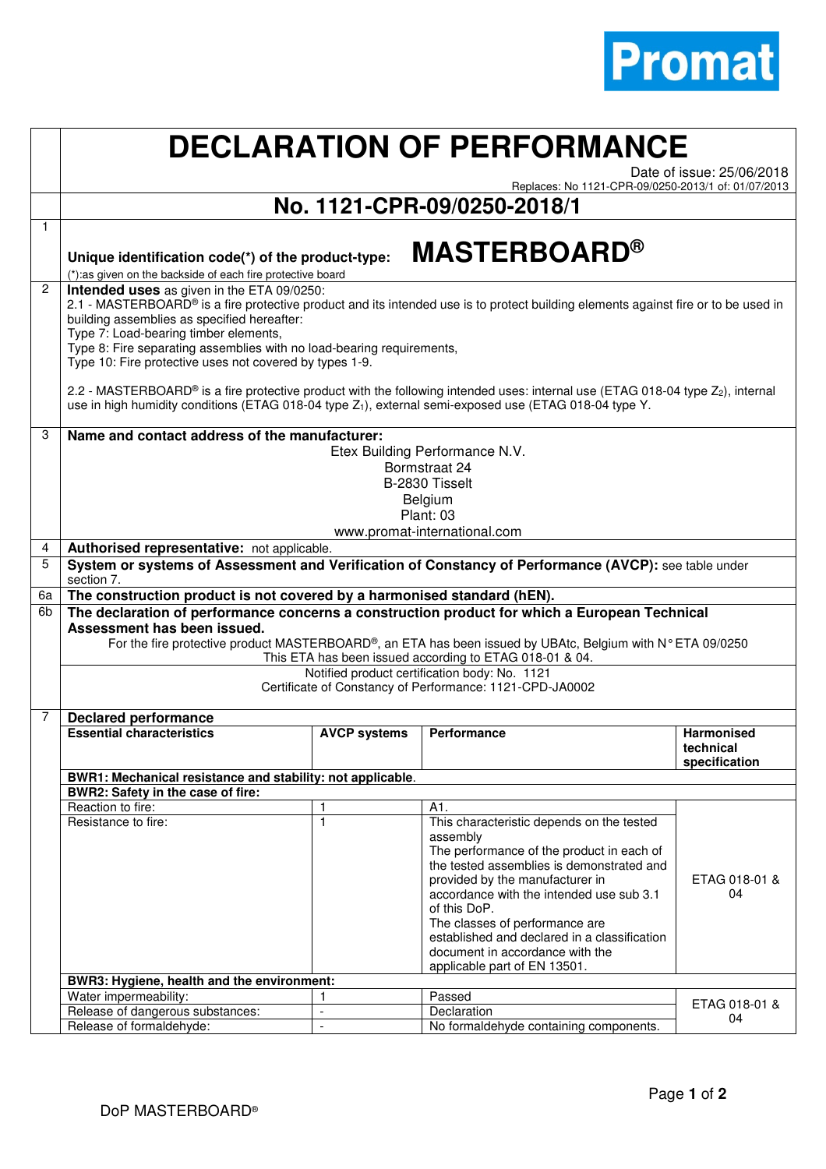

## **DECLARATION OF PERFORMANCE**

Date of issue: 25/06/2018

Replaces: No 1121-CPR-09/0250-2013/1 of: 01/07/2013

## **No. 1121-CPR-09/0250-2018/1**

|                | <b>MASTERBOARD®</b><br>Unique identification code(*) of the product-type:<br>(*):as given on the backside of each fire protective board                                                                                                                                                                                                                                                                                                                                                                                                                                             |                                                            |                                                                                                                                                                                                                                                                                                                                                                                                            |                                                 |  |  |  |
|----------------|-------------------------------------------------------------------------------------------------------------------------------------------------------------------------------------------------------------------------------------------------------------------------------------------------------------------------------------------------------------------------------------------------------------------------------------------------------------------------------------------------------------------------------------------------------------------------------------|------------------------------------------------------------|------------------------------------------------------------------------------------------------------------------------------------------------------------------------------------------------------------------------------------------------------------------------------------------------------------------------------------------------------------------------------------------------------------|-------------------------------------------------|--|--|--|
| $\overline{2}$ | Intended uses as given in the ETA 09/0250:<br>2.1 - MASTERBOARD <sup>®</sup> is a fire protective product and its intended use is to protect building elements against fire or to be used in<br>building assemblies as specified hereafter:<br>Type 7: Load-bearing timber elements,<br>Type 8: Fire separating assemblies with no load-bearing requirements,<br>Type 10: Fire protective uses not covered by types 1-9.<br>2.2 - MASTERBOARD <sup>®</sup> is a fire protective product with the following intended uses: internal use (ETAG 018-04 type Z <sub>2</sub> ), internal |                                                            |                                                                                                                                                                                                                                                                                                                                                                                                            |                                                 |  |  |  |
|                | use in high humidity conditions (ETAG 018-04 type Z <sub>1</sub> ), external semi-exposed use (ETAG 018-04 type Y.                                                                                                                                                                                                                                                                                                                                                                                                                                                                  |                                                            |                                                                                                                                                                                                                                                                                                                                                                                                            |                                                 |  |  |  |
| 3              | Name and contact address of the manufacturer:<br>Etex Building Performance N.V.<br>Bormstraat 24<br>B-2830 Tisselt<br>Belgium                                                                                                                                                                                                                                                                                                                                                                                                                                                       |                                                            |                                                                                                                                                                                                                                                                                                                                                                                                            |                                                 |  |  |  |
|                | Plant: 03<br>www.promat-international.com                                                                                                                                                                                                                                                                                                                                                                                                                                                                                                                                           |                                                            |                                                                                                                                                                                                                                                                                                                                                                                                            |                                                 |  |  |  |
| 4              | Authorised representative: not applicable.                                                                                                                                                                                                                                                                                                                                                                                                                                                                                                                                          |                                                            |                                                                                                                                                                                                                                                                                                                                                                                                            |                                                 |  |  |  |
| 5              | System or systems of Assessment and Verification of Constancy of Performance (AVCP): see table under<br>section 7.                                                                                                                                                                                                                                                                                                                                                                                                                                                                  |                                                            |                                                                                                                                                                                                                                                                                                                                                                                                            |                                                 |  |  |  |
| 6а             | The construction product is not covered by a harmonised standard (hEN).                                                                                                                                                                                                                                                                                                                                                                                                                                                                                                             |                                                            |                                                                                                                                                                                                                                                                                                                                                                                                            |                                                 |  |  |  |
| 6b             | The declaration of performance concerns a construction product for which a European Technical<br>Assessment has been issued.<br>For the fire protective product MASTERBOARD®, an ETA has been issued by UBAtc, Belgium with N° ETA 09/0250<br>This ETA has been issued according to ETAG 018-01 & 04.<br>Notified product certification body: No. 1121<br>Certificate of Constancy of Performance: 1121-CPD-JA0002                                                                                                                                                                  |                                                            |                                                                                                                                                                                                                                                                                                                                                                                                            |                                                 |  |  |  |
| 7              | <b>Declared performance</b>                                                                                                                                                                                                                                                                                                                                                                                                                                                                                                                                                         |                                                            |                                                                                                                                                                                                                                                                                                                                                                                                            |                                                 |  |  |  |
|                | <b>Essential characteristics</b>                                                                                                                                                                                                                                                                                                                                                                                                                                                                                                                                                    | <b>AVCP systems</b>                                        | Performance                                                                                                                                                                                                                                                                                                                                                                                                | <b>Harmonised</b><br>technical<br>specification |  |  |  |
|                |                                                                                                                                                                                                                                                                                                                                                                                                                                                                                                                                                                                     | BWR1: Mechanical resistance and stability: not applicable. |                                                                                                                                                                                                                                                                                                                                                                                                            |                                                 |  |  |  |
|                | BWR2: Safety in the case of fire:                                                                                                                                                                                                                                                                                                                                                                                                                                                                                                                                                   |                                                            |                                                                                                                                                                                                                                                                                                                                                                                                            |                                                 |  |  |  |
|                | Reaction to fire:<br>Resistance to fire:                                                                                                                                                                                                                                                                                                                                                                                                                                                                                                                                            | $\mathbf{1}$<br>$\mathbf{1}$                               | A1.<br>This characteristic depends on the tested<br>assembly<br>The performance of the product in each of<br>the tested assemblies is demonstrated and<br>provided by the manufacturer in<br>accordance with the intended use sub 3.1<br>of this DoP.<br>The classes of performance are<br>established and declared in a classification<br>document in accordance with the<br>applicable part of EN 13501. | ETAG 018-01 &<br>04                             |  |  |  |
|                | BWR3: Hygiene, health and the environment:<br>Water impermeability:                                                                                                                                                                                                                                                                                                                                                                                                                                                                                                                 | 1                                                          | Passed                                                                                                                                                                                                                                                                                                                                                                                                     |                                                 |  |  |  |
|                | Release of dangerous substances:                                                                                                                                                                                                                                                                                                                                                                                                                                                                                                                                                    | $\overline{a}$                                             | Declaration                                                                                                                                                                                                                                                                                                                                                                                                | ETAG 018-01 &                                   |  |  |  |
|                | Release of formaldehyde:                                                                                                                                                                                                                                                                                                                                                                                                                                                                                                                                                            | $\overline{\phantom{a}}$                                   | No formaldehyde containing components.                                                                                                                                                                                                                                                                                                                                                                     | 04                                              |  |  |  |

1